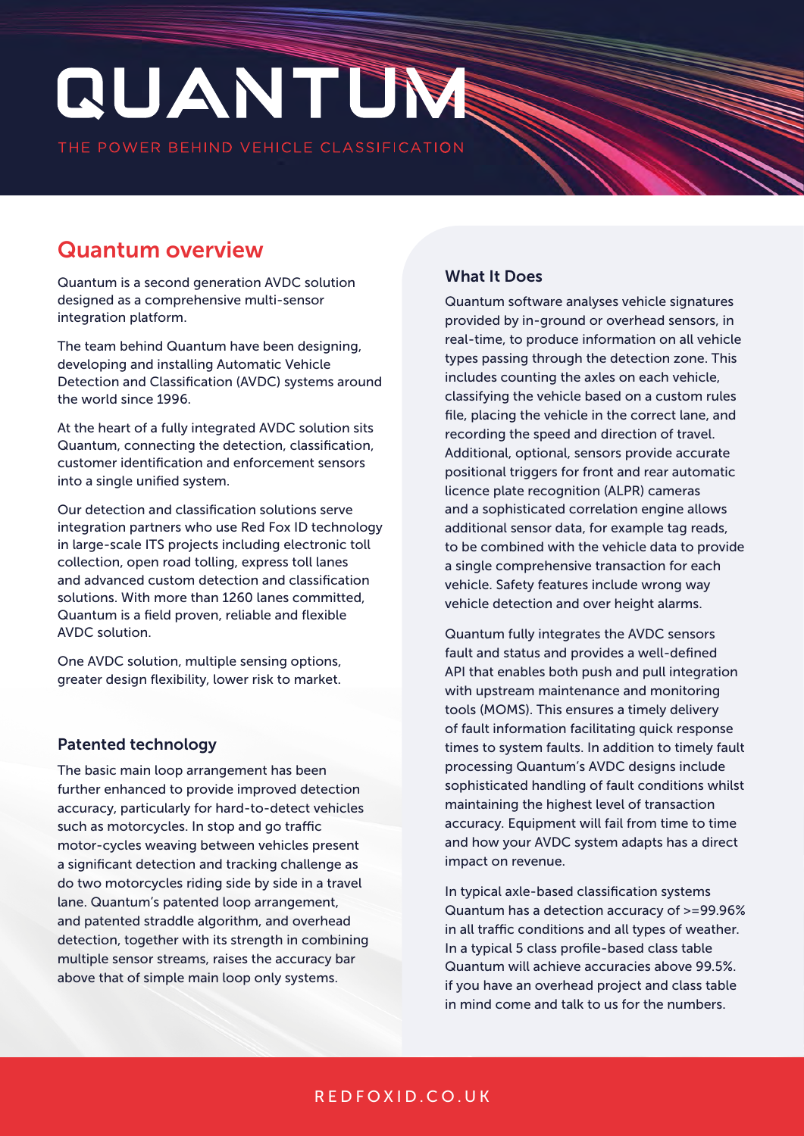# QUANTUM THE POWER BEHIND VEHICLE CLASSIFICATION

## Quantum overview

Quantum is a second generation AVDC solution designed as a comprehensive multi-sensor integration platform.

The team behind Quantum have been designing, developing and installing Automatic Vehicle Detection and Classification (AVDC) systems around the world since 1996.

At the heart of a fully integrated AVDC solution sits Quantum, connecting the detection, classification, customer identification and enforcement sensors into a single unified system.

Our detection and classification solutions serve integration partners who use Red Fox ID technology in large-scale ITS projects including electronic toll collection, open road tolling, express toll lanes and advanced custom detection and classification solutions. With more than 1260 lanes committed, Quantum is a field proven, reliable and flexible AVDC solution.

One AVDC solution, multiple sensing options, greater design flexibility, lower risk to market.

#### Patented technology

The basic main loop arrangement has been further enhanced to provide improved detection accuracy, particularly for hard-to-detect vehicles such as motorcycles. In stop and go traffic motor-cycles weaving between vehicles present a significant detection and tracking challenge as do two motorcycles riding side by side in a travel lane. Quantum's patented loop arrangement, and patented straddle algorithm, and overhead detection, together with its strength in combining multiple sensor streams, raises the accuracy bar above that of simple main loop only systems.

### What It Does

Quantum software analyses vehicle signatures provided by in-ground or overhead sensors, in real-time, to produce information on all vehicle types passing through the detection zone. This includes counting the axles on each vehicle, classifying the vehicle based on a custom rules file, placing the vehicle in the correct lane, and recording the speed and direction of travel. Additional, optional, sensors provide accurate positional triggers for front and rear automatic licence plate recognition (ALPR) cameras and a sophisticated correlation engine allows additional sensor data, for example tag reads, to be combined with the vehicle data to provide a single comprehensive transaction for each vehicle. Safety features include wrong way vehicle detection and over height alarms.

Quantum fully integrates the AVDC sensors fault and status and provides a well-defined API that enables both push and pull integration with upstream maintenance and monitoring tools (MOMS). This ensures a timely delivery of fault information facilitating quick response times to system faults. In addition to timely fault processing Quantum's AVDC designs include sophisticated handling of fault conditions whilst maintaining the highest level of transaction accuracy. Equipment will fail from time to time and how your AVDC system adapts has a direct impact on revenue.

In typical axle-based classification systems Quantum has a detection accuracy of >=99.96% in all traffic conditions and all types of weather. In a typical 5 class profile-based class table Quantum will achieve accuracies above 99.5%. if you have an overhead project and class table in mind come and talk to us for the numbers.